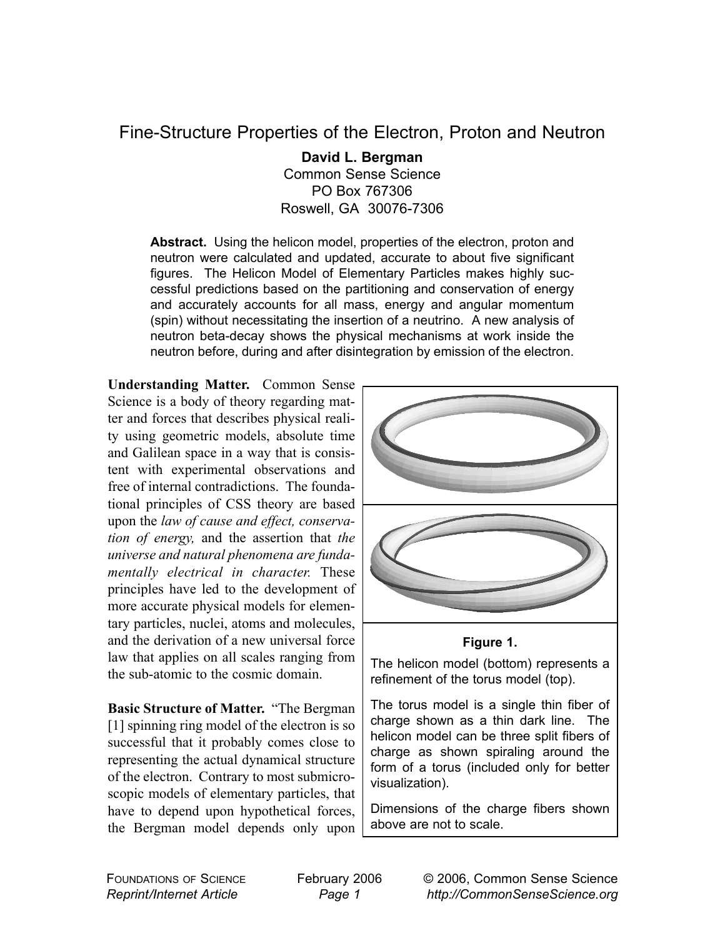## Fine-Structure Properties of the Electron, Proton and Neutron

**David L. Bergman** Common Sense Science PO Box 767306 Roswell, GA 30076-7306

Abstract. Using the helicon model, properties of the electron, proton and neutron were calculated and updated, accurate to about five significant figures. The Helicon Model of Elementary Particles makes highly successful predictions based on the partitioning and conservation of energy and accurately accounts for all mass, energy and angular momentum (spin) without necessitating the insertion of a neutrino. A new analysis of neutron beta-decay shows the physical mechanisms at work inside the neutron before, during and after disintegration by emission of the electron.

**Understanding Matter.** Common Sense Science is a body of theory regarding matter and forces that describes physical reality using geometric models, absolute time and Galilean space in a way that is consistent with experimental observations and free of internal contradictions. The foundational principles of CSS theory are based upon the *law of cause and effect, conservation of energy,* and the assertion that *the universe and natural phenomena are fundamentally electrical in character.* These principles have led to the development of more accurate physical models for elementary particles, nuclei, atoms and molecules, and the derivation of a new universal force law that applies on all scales ranging from the sub-atomic to the cosmic domain.

**Basic Structure of Matter.** "The Bergman [1] spinning ring model of the electron is so successful that it probably comes close to representing the actual dynamical structure of the electron. Contrary to most submicroscopic models of elementary particles, that have to depend upon hypothetical forces, the Bergman model depends only upon



## **Figure 1.**

The helicon model (bottom) represents a refinement of the torus model (top).

The torus model is a single thin fiber of charge shown as a thin dark line. The helicon model can be three split fibers of charge as shown spiraling around the form of a torus (included only for better visualization).

Dimensions of the charge fibers shown above are not to scale.

FOUNDATIONS OF SCIENCE *Reprint/Internet Article*

February 2006 *Page 1*

© 2006, Common Sense Science *http://CommonSenseScience.org*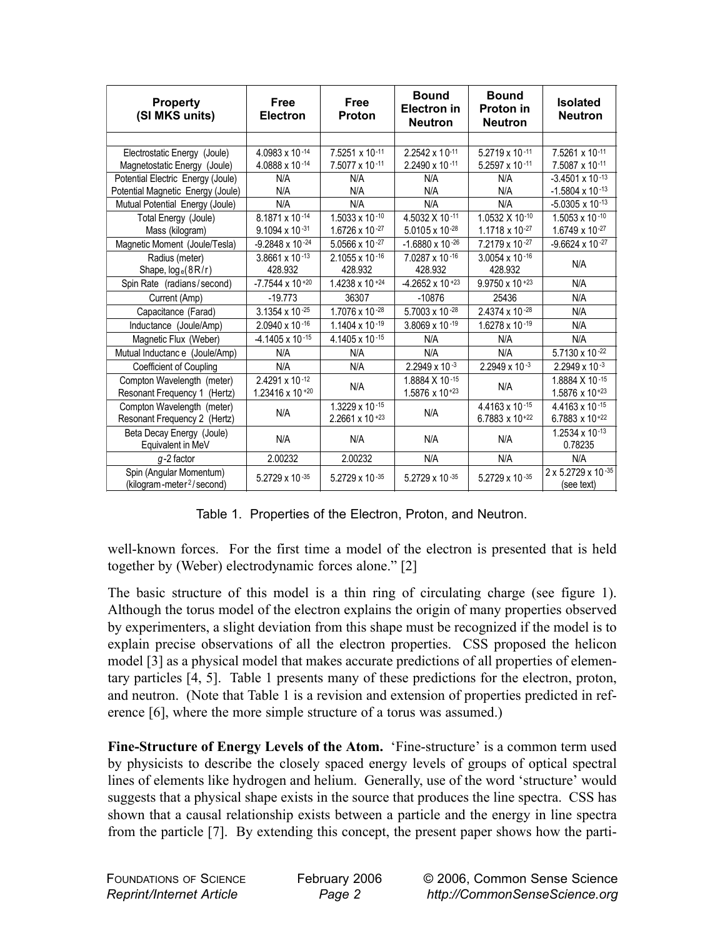| <b>Property</b><br>(SI MKS units)     | <b>Free</b><br><b>Electron</b> | <b>Free</b><br><b>Proton</b> | <b>Bound</b><br><b>Electron</b> in<br><b>Neutron</b> | <b>Bound</b><br>Proton in<br><b>Neutron</b> | <b>Isolated</b><br><b>Neutron</b> |  |
|---------------------------------------|--------------------------------|------------------------------|------------------------------------------------------|---------------------------------------------|-----------------------------------|--|
|                                       |                                |                              |                                                      |                                             |                                   |  |
| Electrostatic Energy (Joule)          | 4.0983 x 10-14                 | 7.5251 x 10-11               | 2.2542 x 10-11                                       | 5.2719 x 10-11                              | 7.5261 x 10-11                    |  |
| Magnetostatic Energy (Joule)          | 4.0888 x 10-14                 | 7.5077 x 10-11               | 2.2490 x 10-11                                       | $5.2597 \times 10^{-11}$                    | 7.5087 x 10-11                    |  |
| Potential Electric Energy (Joule)     | N/A                            | N/A                          | N/A                                                  | N/A                                         | $-3.4501 \times 10^{-13}$         |  |
| Potential Magnetic Energy (Joule)     | N/A                            | N/A                          | N/A                                                  | N/A                                         | $-1.5804 \times 10^{-13}$         |  |
| Mutual Potential Energy (Joule)       | N/A                            | N/A                          | N/A                                                  | N/A                                         | $-5.0305 \times 10^{-13}$         |  |
| Total Energy (Joule)                  | 8.1871 x 10-14                 | 1.5033 x 10 $-10$            | 4.5032 X 10-11                                       | 1.0532 X 10-10                              | $1.5053 \times 10^{-10}$          |  |
| Mass (kilogram)                       | $9.1094 \times 10^{-31}$       | 1.6726 x 10 $-27$            | 5.0105 x 10-28                                       | 1.1718 x 10-27                              | 1.6749 x 10-27                    |  |
| Magnetic Moment (Joule/Tesla)         | $-9.2848 \times 10^{-24}$      | 5.0566 x 10 $-27$            | $-1.6880 \times 10^{-26}$                            | $7.2179 \times 10^{-27}$                    | $-9.6624 \times 10^{-27}$         |  |
| Radius (meter)                        | 3.8661 x 10 $-13$              | $2.1055 \times 10^{-16}$     | 7.0287 x 10-16                                       | $3.0054 \times 10^{-16}$                    |                                   |  |
| Shape, $log_e(8R/r)$                  | 428.932                        | 428.932                      | 428.932                                              | 428.932                                     | N/A                               |  |
| Spin Rate (radians/second)            | $-7.7544 \times 10^{+20}$      | $1.4238 \times 10^{-24}$     | $-4.2652 \times 10^{-23}$                            | $9.9750 \times 10^{+23}$                    | N/A                               |  |
| Current (Amp)                         | $-19.773$                      | 36307                        | $-10876$                                             | 25436                                       | N/A                               |  |
| Capacitance (Farad)                   | 3.1354 x 10 $-25$              | 1.7076 x 10-28               | 5.7003 x 10-28                                       | 2.4374 x 10-28                              | N/A                               |  |
| Inductance (Joule/Amp)                | 2.0940 x 10-16                 | 1.1404 $\times$ 10 $-19$     | 3.8069 $\times$ 10 $-19$                             | $1.6278 \times 10^{-19}$                    | N/A                               |  |
| Magnetic Flux (Weber)                 | $-4.1405 \times 10^{-15}$      | 4.1405 x 10-15               | N/A                                                  | N/A                                         | N/A                               |  |
| Mutual Inductance (Joule/Amp)         | N/A                            | N/A                          | N/A                                                  | N/A                                         | 5.7130 x 10 $-22$                 |  |
| Coefficient of Coupling               | N/A                            | N/A                          | $2.2949 \times 10^{-3}$                              | $2.2949 \times 10^{-3}$                     | $2.2949 \times 10^{-3}$           |  |
| Compton Wavelength (meter)            | 2.4291 x 10-12                 |                              | 1.8884 X 10-15<br>1.5876 x $10^{+23}$                | N/A                                         | 1.8884 X 10-15                    |  |
| Resonant Frequency 1 (Hertz)          | 1.23416 x 10 + $20$            | N/A                          |                                                      |                                             | 1.5876 x $10^{+23}$               |  |
| Compton Wavelength (meter)            |                                | 1.3229 x 10-15               | N/A                                                  | 4.4163 x 10-15                              | 4.4163 x 10-15                    |  |
| Resonant Frequency 2 (Hertz)          | N/A                            | 2.2661 x 10 $+23$            |                                                      | 6.7883 x $10^{+22}$                         | 6.7883 x $10^{+22}$               |  |
| Beta Decay Energy (Joule)             | N/A                            | N/A                          | N/A                                                  | N/A                                         | 1.2534 x 10-13                    |  |
| Equivalent in MeV                     |                                |                              |                                                      |                                             | 0.78235                           |  |
| $q-2$ factor                          | 2.00232                        | 2.00232                      | N/A                                                  | N/A                                         | N/A                               |  |
| Spin (Angular Momentum)               | 5.2729 x 10 $-35$              | $5.2729 \times 10^{-35}$     | 5.2729 x 10-35                                       | $5.2729 \times 10^{-35}$                    | 2 x 5.2729 x 10-35                |  |
| (kilogram-meter <sup>2</sup> /second) |                                |                              |                                                      |                                             | (see text)                        |  |

Table 1. Properties of the Electron, Proton, and Neutron.

well-known forces. For the first time a model of the electron is presented that is held together by (Weber) electrodynamic forces alone." [2]

The basic structure of this model is a thin ring of circulating charge (see figure 1). Although the torus model of the electron explains the origin of many properties observed by experimenters, a slight deviation from this shape must be recognized if the model is to explain precise observations of all the electron properties. CSS proposed the helicon model [3] as a physical model that makes accurate predictions of all properties of elementary particles [4, 5]. Table 1 presents many of these predictions for the electron, proton, and neutron. (Note that Table 1 is a revision and extension of properties predicted in reference [6], where the more simple structure of a torus was assumed.)

**Fine-Structure of Energy Levels of the Atom.** 'Fine-structure' is a common term used by physicists to describe the closely spaced energy levels of groups of optical spectral lines of elements like hydrogen and helium. Generally, use of the word 'structure' would suggests that a physical shape exists in the source that produces the line spectra. CSS has shown that a causal relationship exists between a particle and the energy in line spectra from the particle [7]. By extending this concept, the present paper shows how the parti-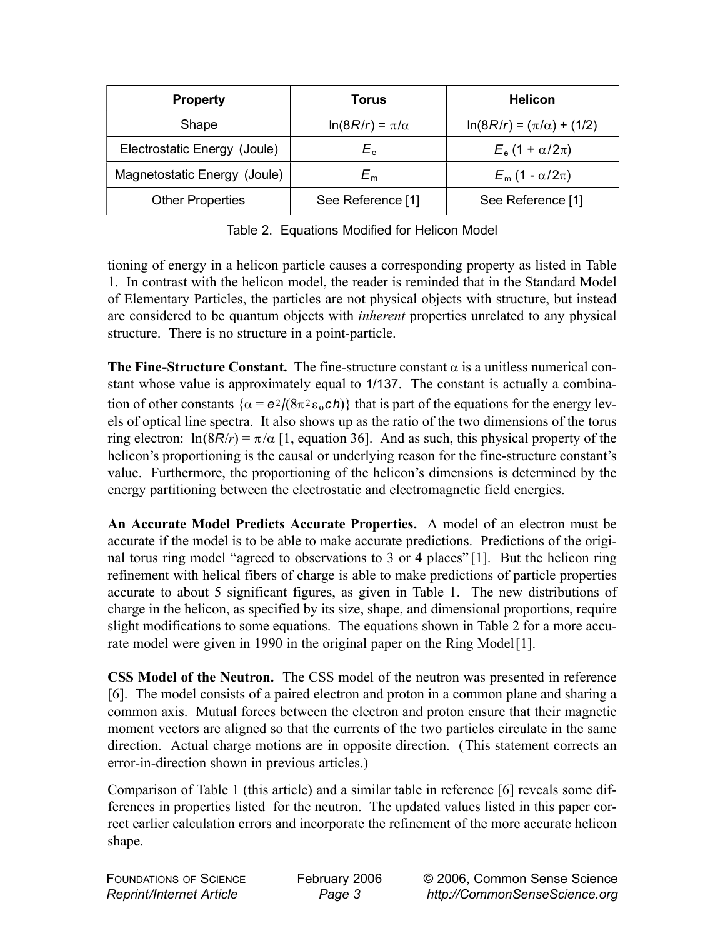| <b>Property</b>              | Torus                   | <b>Helicon</b>                    |  |
|------------------------------|-------------------------|-----------------------------------|--|
| Shape                        | $ln(8R/r) = \pi/\alpha$ | $ln(8R/r) = (\pi/\alpha) + (1/2)$ |  |
| Electrostatic Energy (Joule) | $E_e$                   | $E_e$ (1 + $\alpha/2\pi$ )        |  |
| Magnetostatic Energy (Joule) | $E_{\rm m}$             | $E_m$ (1 - $\alpha/2\pi$ )        |  |
| <b>Other Properties</b>      | See Reference [1]       | See Reference [1]                 |  |

Table 2. Equations Modified for Helicon Model

tioning of energy in a helicon particle causes a corresponding property as listed in Table 1. In contrast with the helicon model, the reader is reminded that in the Standard Model of Elementary Particles, the particles are not physical objects with structure, but instead are considered to be quantum objects with *inherent* properties unrelated to any physical structure. There is no structure in a point-particle.

**The Fine-Structure Constant.** The fine-structure constant  $\alpha$  is a unitless numerical constant whose value is approximately equal to 1/137. The constant is actually a combination of other constants  $\{\alpha = e^2/(8\pi^2 \epsilon_0 c h)\}\$  that is part of the equations for the energy levels of optical line spectra. It also shows up as the ratio of the two dimensions of the torus ring electron:  $\ln(8R/r) = \pi/\alpha$  [1, equation 36]. And as such, this physical property of the helicon's proportioning is the causal or underlying reason for the fine-structure constant's value. Furthermore, the proportioning of the helicon's dimensions is determined by the energy partitioning between the electrostatic and electromagnetic field energies.

**An Accurate Model Predicts Accurate Properties.** A model of an electron must be accurate if the model is to be able to make accurate predictions. Predictions of the original torus ring model "agreed to observations to 3 or 4 places" [1]. But the helicon ring refinement with helical fibers of charge is able to make predictions of particle properties accurate to about 5 significant figures, as given in Table 1. The new distributions of charge in the helicon, as specified by its size, shape, and dimensional proportions, require slight modifications to some equations. The equations shown in Table 2 for a more accurate model were given in 1990 in the original paper on the Ring Model [1].

**CSS Model of the Neutron.** The CSS model of the neutron was presented in reference [6]. The model consists of a paired electron and proton in a common plane and sharing a common axis. Mutual forces between the electron and proton ensure that their magnetic moment vectors are aligned so that the currents of the two particles circulate in the same direction. Actual charge motions are in opposite direction. (This statement corrects an error-in-direction shown in previous articles.)

Comparison of Table 1 (this article) and a similar table in reference [6] reveals some differences in properties listed for the neutron. The updated values listed in this paper correct earlier calculation errors and incorporate the refinement of the more accurate helicon shape.

| <b>FOUNDATIONS OF SCIENCE</b>   |  |
|---------------------------------|--|
| <b>Reprint/Internet Article</b> |  |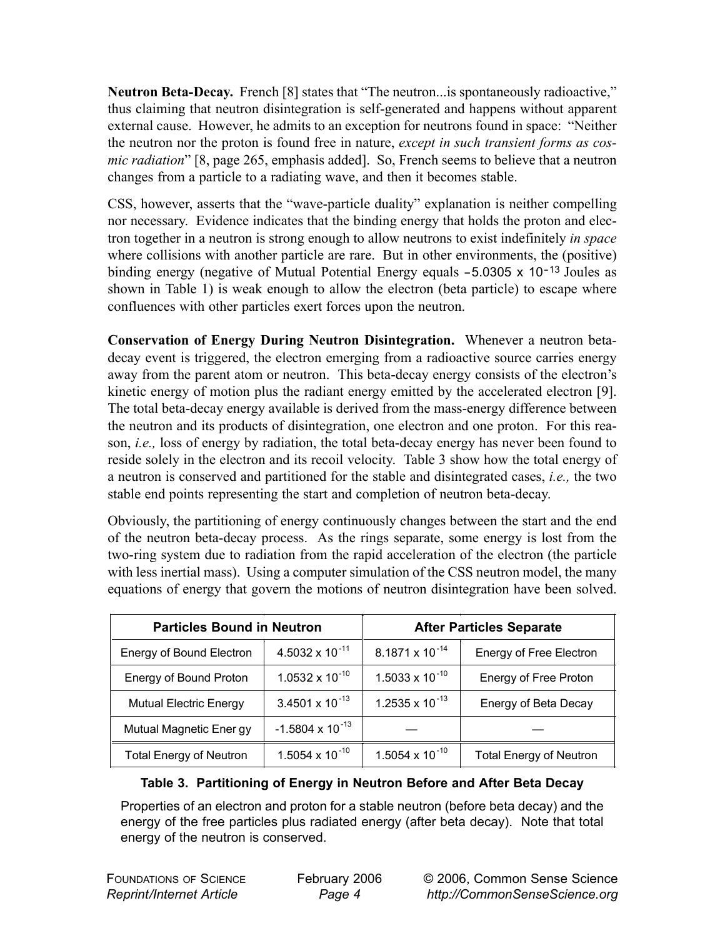**Neutron Beta-Decay.** French [8] states that "The neutron...is spontaneously radioactive," thus claiming that neutron disintegration is self-generated and happens without apparent external cause. However, he admits to an exception for neutrons found in space: "Neither the neutron nor the proton is found free in nature, *except in such transient forms as cosmic radiation*" [8, page 265, emphasis added]. So, French seems to believe that a neutron changes from a particle to a radiating wave, and then it becomes stable.

CSS, however, asserts that the "wave-particle duality" explanation is neither compelling nor necessary. Evidence indicates that the binding energy that holds the proton and electron together in a neutron is strong enough to allow neutrons to exist indefinitely *in space* where collisions with another particle are rare. But in other environments, the (positive) binding energy (negative of Mutual Potential Energy equals -5.0305 x 10<sup>-13</sup> Joules as shown in Table 1) is weak enough to allow the electron (beta particle) to escape where confluences with other particles exert forces upon the neutron.

**Conservation of Energy During Neutron Disintegration.** Whenever a neutron betadecay event is triggered, the electron emerging from a radioactive source carries energy away from the parent atom or neutron. This beta-decay energy consists of the electron's kinetic energy of motion plus the radiant energy emitted by the accelerated electron [9]. The total beta-decay energy available is derived from the mass-energy difference between the neutron and its products of disintegration, one electron and one proton. For this reason, *i.e.,* loss of energy by radiation, the total beta-decay energy has never been found to reside solely in the electron and its recoil velocity. Table 3 show how the total energy of a neutron is conserved and partitioned for the stable and disintegrated cases, *i.e.,* the two stable end points representing the start and completion of neutron beta-decay.

Obviously, the partitioning of energy continuously changes between the start and the end of the neutron beta-decay process. As the rings separate, some energy is lost from the two-ring system due to radiation from the rapid acceleration of the electron (the particle with less inertial mass). Using a computer simulation of the CSS neutron model, the many equations of energy that govern the motions of neutron disintegration have been solved.

| <b>Particles Bound in Neutron</b> |                           | <b>After Particles Separate</b> |                                |  |
|-----------------------------------|---------------------------|---------------------------------|--------------------------------|--|
| Energy of Bound Electron          | 4.5032 x 10 $^{-11}$      | $8.1871 \times 10^{-14}$        | Energy of Free Electron        |  |
| Energy of Bound Proton            | $1.0532 \times 10^{-10}$  | $1.5033 \times 10^{-10}$        | Energy of Free Proton          |  |
| <b>Mutual Electric Energy</b>     | 3.4501 x 10 $^{-13}$      | 1.2535 x 10 $^{-13}$            | Energy of Beta Decay           |  |
| Mutual Magnetic Ener gy           | $-1.5804 \times 10^{-13}$ |                                 |                                |  |
| <b>Total Energy of Neutron</b>    | 1.5054 x 10 $^{-10}$      | 1.5054 x 10 $^{-10}$            | <b>Total Energy of Neutron</b> |  |

## **Table 3. Partitioning of Energy in Neutron Before and After Beta Decay**

Properties of an electron and proton for a stable neutron (before beta decay) and the energy of the free particles plus radiated energy (after beta decay). Note that total energy of the neutron is conserved.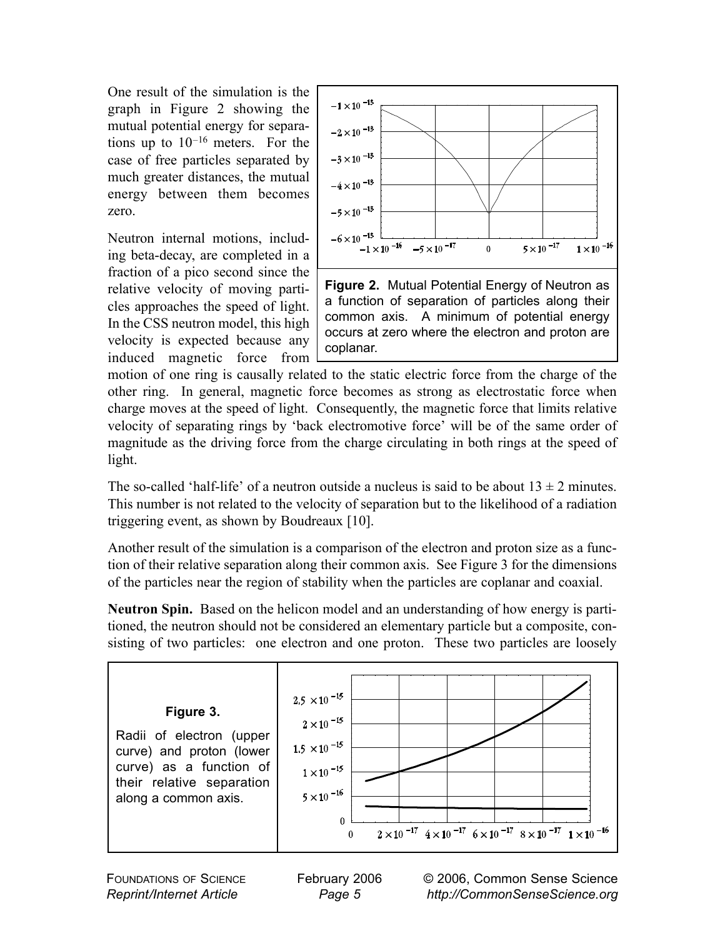One result of the simulation is the graph in Figure 2 showing the mutual potential energy for separations up to  $10^{-16}$  meters. For the case of free particles separated by much greater distances, the mutual energy between them becomes zero.

Neutron internal motions, including beta-decay, are completed in a fraction of a pico second since the relative velocity of moving particles approaches the speed of light. In the CSS neutron model, this high velocity is expected because any induced magnetic force from



motion of one ring is causally related to the static electric force from the charge of the other ring. In general, magnetic force becomes as strong as electrostatic force when charge moves at the speed of light. Consequently, the magnetic force that limits relative velocity of separating rings by 'back electromotive force' will be of the same order of magnitude as the driving force from the charge circulating in both rings at the speed of light.

The so-called 'half-life' of a neutron outside a nucleus is said to be about  $13 \pm 2$  minutes. This number is not related to the velocity of separation but to the likelihood of a radiation triggering event, as shown by Boudreaux [10].

Another result of the simulation is a comparison of the electron and proton size as a function of their relative separation along their common axis. See Figure 3 for the dimensions of the particles near the region of stability when the particles are coplanar and coaxial.

**Neutron Spin.** Based on the helicon model and an understanding of how energy is partitioned, the neutron should not be considered an elementary particle but a composite, consisting of two particles: one electron and one proton. These two particles are loosely



FOUNDATIONS OF SCIENCE *Reprint/Internet Article*

February 2006 *Page 5*

© 2006, Common Sense Science *http://CommonSenseScience.org*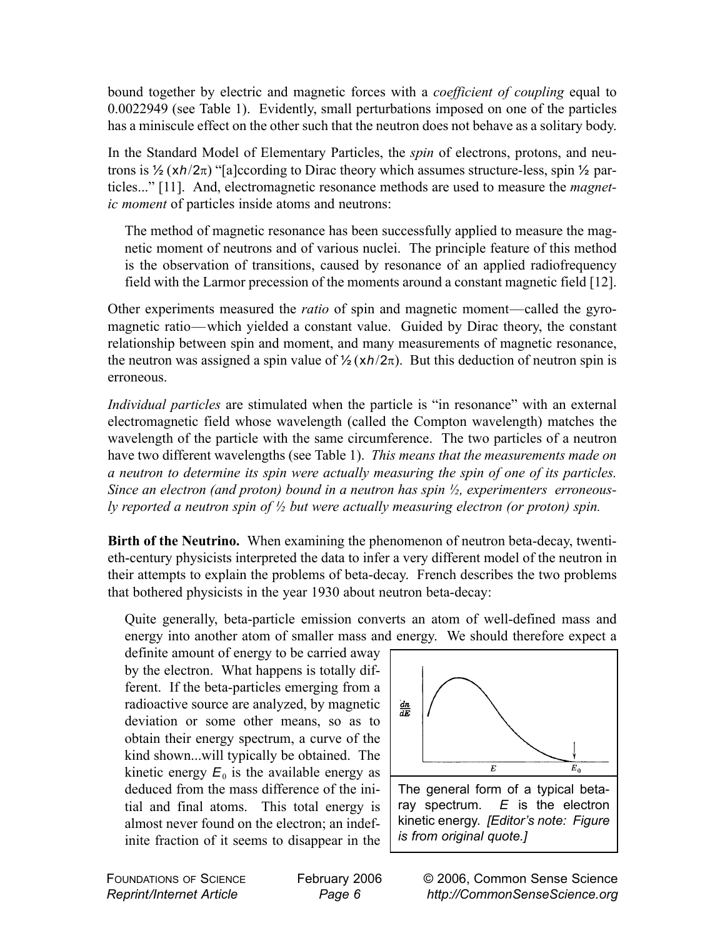bound together by electric and magnetic forces with a *coefficient of coupling* equal to 0.0022949 (see Table 1). Evidently, small perturbations imposed on one of the particles has a miniscule effect on the other such that the neutron does not behave as a solitary body.

In the Standard Model of Elementary Particles, the *spin* of electrons, protons, and neutrons is ½ (x*h*/2π) "[a]ccording to Dirac theory which assumes structure-less, spin ½ particles..." [11]. And, electromagnetic resonance methods are used to measure the *magnetic moment* of particles inside atoms and neutrons:

The method of magnetic resonance has been successfully applied to measure the magnetic moment of neutrons and of various nuclei. The principle feature of this method is the observation of transitions, caused by resonance of an applied radiofrequency field with the Larmor precession of the moments around a constant magnetic field [12].

Other experiments measured the *ratio* of spin and magnetic moment—called the gyromagnetic ratio—which yielded a constant value. Guided by Dirac theory, the constant relationship between spin and moment, and many measurements of magnetic resonance, the neutron was assigned a spin value of  $\frac{1}{2}(\frac{xh}{2\pi})$ . But this deduction of neutron spin is erroneous.

*Individual particles* are stimulated when the particle is "in resonance" with an external electromagnetic field whose wavelength (called the Compton wavelength) matches the wavelength of the particle with the same circumference. The two particles of a neutron have two different wavelengths (see Table 1). *This means that the measurements made on a neutron to determine its spin were actually measuring the spin of one of its particles. Since an electron (and proton) bound in a neutron has spin ½, experimenters erroneously reported a neutron spin of ½ but were actually measuring electron (or proton) spin.*

**Birth of the Neutrino.** When examining the phenomenon of neutron beta-decay, twentieth-century physicists interpreted the data to infer a very different model of the neutron in their attempts to explain the problems of beta-decay. French describes the two problems that bothered physicists in the year 1930 about neutron beta-decay:

Quite generally, beta-particle emission converts an atom of well-defined mass and energy into another atom of smaller mass and energy. We should therefore expect a

definite amount of energy to be carried away by the electron. What happens is totally different. If the beta-particles emerging from a radioactive source are analyzed, by magnetic deviation or some other means, so as to obtain their energy spectrum, a curve of the kind shown...will typically be obtained. The kinetic energy  $E_0$  is the available energy as deduced from the mass difference of the initial and final atoms. This total energy is almost never found on the electron; an indefinite fraction of it seems to disappear in the



The general form of a typical betaray spectrum. *E* is the electron kinetic energy. *[Editor's note: Figure is from original quote.]*

FOUNDATIONS OF SCIENCE *Reprint/Internet Article*

February 2006 *Page 6*

© 2006, Common Sense Science *http://CommonSenseScience.org*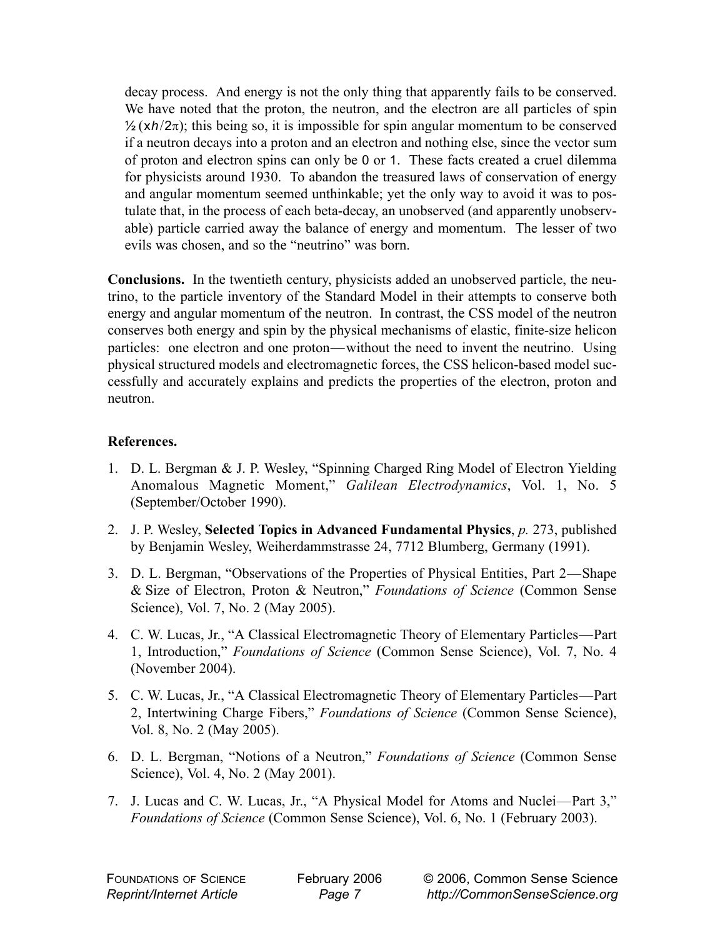decay process. And energy is not the only thing that apparently fails to be conserved. We have noted that the proton, the neutron, and the electron are all particles of spin  $\frac{1}{2}(\frac{xh}{2\pi})$ ; this being so, it is impossible for spin angular momentum to be conserved if a neutron decays into a proton and an electron and nothing else, since the vector sum of proton and electron spins can only be 0 or 1. These facts created a cruel dilemma for physicists around 1930. To abandon the treasured laws of conservation of energy and angular momentum seemed unthinkable; yet the only way to avoid it was to postulate that, in the process of each beta-decay, an unobserved (and apparently unobservable) particle carried away the balance of energy and momentum. The lesser of two evils was chosen, and so the "neutrino" was born.

**Conclusions.** In the twentieth century, physicists added an unobserved particle, the neutrino, to the particle inventory of the Standard Model in their attempts to conserve both energy and angular momentum of the neutron. In contrast, the CSS model of the neutron conserves both energy and spin by the physical mechanisms of elastic, finite-size helicon particles: one electron and one proton—without the need to invent the neutrino. Using physical structured models and electromagnetic forces, the CSS helicon-based model successfully and accurately explains and predicts the properties of the electron, proton and neutron.

## **References.**

- 1. D. L. Bergman & J. P. Wesley, "Spinning Charged Ring Model of Electron Yielding Anomalous Magnetic Moment," *Galilean Electrodynamics*, Vol. 1, No. 5 (September/October 1990).
- 2. J. P. Wesley, **Selected Topics in Advanced Fundamental Physics**, *p.* 273, published by Benjamin Wesley, Weiherdammstrasse 24, 7712 Blumberg, Germany (1991).
- 3. D. L. Bergman, "Observations of the Properties of Physical Entities, Part 2—Shape & Size of Electron, Proton & Neutron," *Foundations of Science* (Common Sense Science), Vol. 7, No. 2 (May 2005).
- 4. C. W. Lucas, Jr., "A Classical Electromagnetic Theory of Elementary Particles—Part 1, Introduction," *Foundations of Science* (Common Sense Science), Vol. 7, No. 4 (November 2004).
- 5. C. W. Lucas, Jr., "A Classical Electromagnetic Theory of Elementary Particles—Part 2, Intertwining Charge Fibers," *Foundations of Science* (Common Sense Science), Vol. 8, No. 2 (May 2005).
- 6. D. L. Bergman, "Notions of a Neutron," *Foundations of Science* (Common Sense Science), Vol. 4, No. 2 (May 2001).
- 7. J. Lucas and C. W. Lucas, Jr., "A Physical Model for Atoms and Nuclei—Part 3," *Foundations of Science* (Common Sense Science), Vol. 6, No. 1 (February 2003).